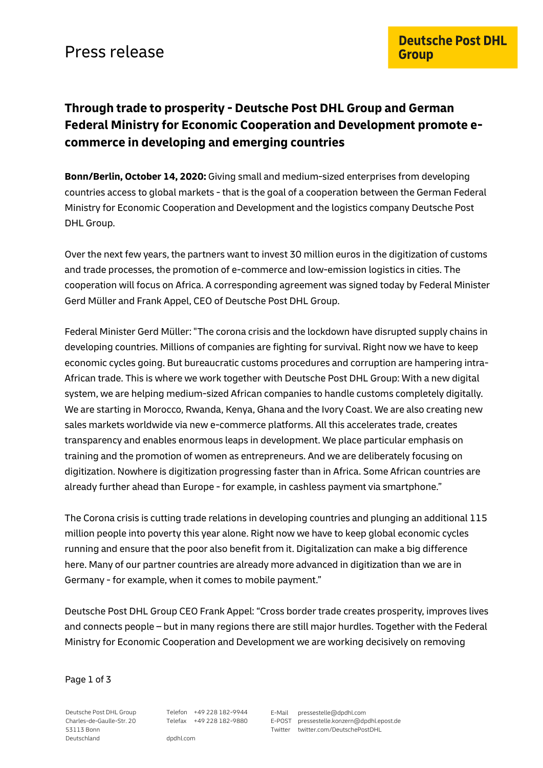# **Through trade to prosperity - Deutsche Post DHL Group and German Federal Ministry for Economic Cooperation and Development promote ecommerce in developing and emerging countries**

**Bonn/Berlin, October 14, 2020:** Giving small and medium-sized enterprises from developing countries access to global markets - that is the goal of a cooperation between the German Federal Ministry for Economic Cooperation and Development and the logistics company Deutsche Post DHL Group.

Over the next few years, the partners want to invest 30 million euros in the digitization of customs and trade processes, the promotion of e-commerce and low-emission logistics in cities. The cooperation will focus on Africa. A corresponding agreement was signed today by Federal Minister Gerd Müller and Frank Appel, CEO of Deutsche Post DHL Group.

Federal Minister Gerd Müller: "The corona crisis and the lockdown have disrupted supply chains in developing countries. Millions of companies are fighting for survival. Right now we have to keep economic cycles going. But bureaucratic customs procedures and corruption are hampering intra-African trade. This is where we work together with Deutsche Post DHL Group: With a new digital system, we are helping medium-sized African companies to handle customs completely digitally. We are starting in Morocco, Rwanda, Kenya, Ghana and the Ivory Coast. We are also creating new sales markets worldwide via new e-commerce platforms. All this accelerates trade, creates transparency and enables enormous leaps in development. We place particular emphasis on training and the promotion of women as entrepreneurs. And we are deliberately focusing on digitization. Nowhere is digitization progressing faster than in Africa. Some African countries are already further ahead than Europe - for example, in cashless payment via smartphone."

The Corona crisis is cutting trade relations in developing countries and plunging an additional 115 million people into poverty this year alone. Right now we have to keep global economic cycles running and ensure that the poor also benefit from it. Digitalization can make a big difference here. Many of our partner countries are already more advanced in digitization than we are in Germany - for example, when it comes to mobile payment."

Deutsche Post DHL Group CEO Frank Appel: "Cross border trade creates prosperity, improves lives and connects people – but in many regions there are still major hurdles. Together with the Federal Ministry for Economic Cooperation and Development we are working decisively on removing

Page 1 of 3

Deutsche Post DHL Group Charles-de-Gaulle-Str. 20 53113 Bonn **Deutschland** 

Telefon +49 228 182-9944 Telefax +49 228 182-9880 E-Mail pressestelle@dpdhl.com E-POST pressestelle.konzern@dpdhl.epost.de Twitter twitter.com/DeutschePostDHL

dpdhl.com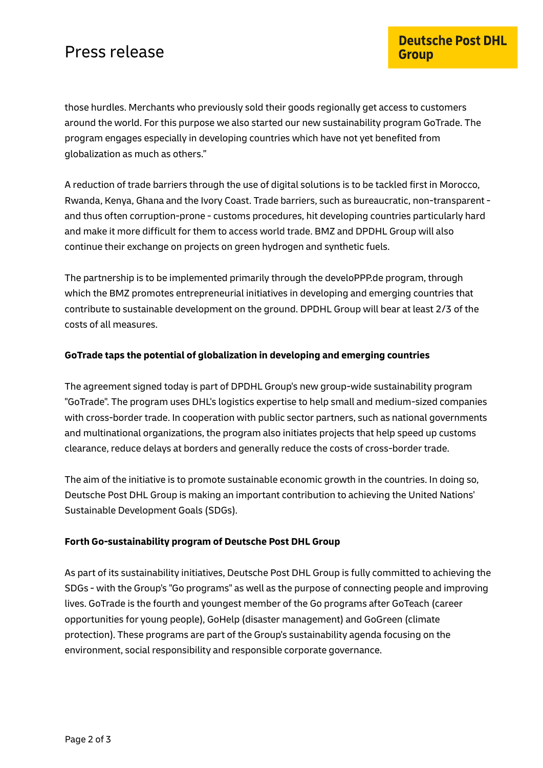# Press release

those hurdles. Merchants who previously sold their goods regionally get access to customers around the world. For this purpose we also started our new sustainability program GoTrade. The program engages especially in developing countries which have not yet benefited from globalization as much as others."

A reduction of trade barriers through the use of digital solutions is to be tackled first in Morocco, Rwanda, Kenya, Ghana and the Ivory Coast. Trade barriers, such as bureaucratic, non-transparent and thus often corruption-prone - customs procedures, hit developing countries particularly hard and make it more difficult for them to access world trade. BMZ and DPDHL Group will also continue their exchange on projects on green hydrogen and synthetic fuels.

The partnership is to be implemented primarily through the develoPPP.de program, through which the BMZ promotes entrepreneurial initiatives in developing and emerging countries that contribute to sustainable development on the ground. DPDHL Group will bear at least 2/3 of the costs of all measures.

### **GoTrade taps the potential of globalization in developing and emerging countries**

The agreement signed today is part of DPDHL Group's new group-wide sustainability program "GoTrade". The program uses DHL's logistics expertise to help small and medium-sized companies with cross-border trade. In cooperation with public sector partners, such as national governments and multinational organizations, the program also initiates projects that help speed up customs clearance, reduce delays at borders and generally reduce the costs of cross-border trade.

The aim of the initiative is to promote sustainable economic growth in the countries. In doing so, Deutsche Post DHL Group is making an important contribution to achieving the United Nations' Sustainable Development Goals (SDGs).

## **Forth Go-sustainability program of Deutsche Post DHL Group**

As part of its sustainability initiatives, Deutsche Post DHL Group is fully committed to achieving the SDGs - with the Group's "Go programs" as well as the purpose of connecting people and improving lives. GoTrade is the fourth and youngest member of the Go programs after GoTeach (career opportunities for young people), GoHelp (disaster management) and GoGreen (climate protection). These programs are part of the Group's sustainability agenda focusing on the environment, social responsibility and responsible corporate governance.